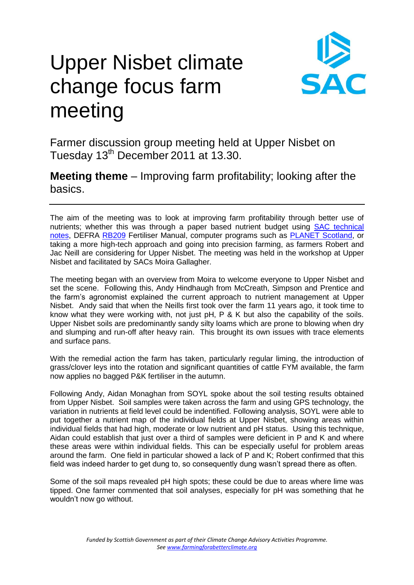## Upper Nisbet climate change focus farm meeting



Farmer discussion group meeting held at Upper Nisbet on Tuesday 13<sup>th</sup> December 2011 at 13.30.

**Meeting theme** – Improving farm profitability; looking after the basics.

The aim of the meeting was to look at improving farm profitability through better use of nutrients; whether this was through a paper based nutrient budget using [SAC technical](http://www.sac.ac.uk/publications/technicalnotes/)  [notes,](http://www.sac.ac.uk/publications/technicalnotes/) DEFRA [RB209](http://archive.defra.gov.uk/foodfarm/landmanage/land-soil/nutrient/documents/rb209-rev-100609.pdf) Fertiliser Manual, computer programs such as [PLANET Scotland,](http://www.planet4farmers.co.uk/) or taking a more high-tech approach and going into precision farming, as farmers Robert and Jac Neill are considering for Upper Nisbet. The meeting was held in the workshop at Upper Nisbet and facilitated by SACs Moira Gallagher.

The meeting began with an overview from Moira to welcome everyone to Upper Nisbet and set the scene. Following this, Andy Hindhaugh from McCreath, Simpson and Prentice and the farm's agronomist explained the current approach to nutrient management at Upper Nisbet. Andy said that when the Neills first took over the farm 11 years ago, it took time to know what they were working with, not just pH, P & K but also the capability of the soils. Upper Nisbet soils are predominantly sandy silty loams which are prone to blowing when dry and slumping and run-off after heavy rain. This brought its own issues with trace elements and surface pans.

With the remedial action the farm has taken, particularly regular liming, the introduction of grass/clover leys into the rotation and significant quantities of cattle FYM available, the farm now applies no bagged P&K fertiliser in the autumn.

Following Andy, Aidan Monaghan from SOYL spoke about the soil testing results obtained from Upper Nisbet. Soil samples were taken across the farm and using GPS technology, the variation in nutrients at field level could be indentified. Following analysis, SOYL were able to put together a nutrient map of the individual fields at Upper Nisbet, showing areas within individual fields that had high, moderate or low nutrient and pH status. Using this technique, Aidan could establish that just over a third of samples were deficient in P and K and where these areas were within individual fields. This can be especially useful for problem areas around the farm. One field in particular showed a lack of P and K; Robert confirmed that this field was indeed harder to get dung to, so consequently dung wasn't spread there as often.

Some of the soil maps revealed pH high spots; these could be due to areas where lime was tipped. One farmer commented that soil analyses, especially for pH was something that he wouldn't now go without.